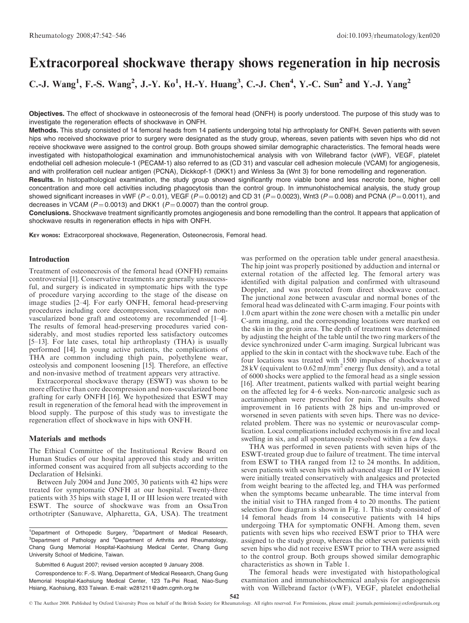# Extracorporeal shockwave therapy shows regeneration in hip necrosis

C.-J. Wang<sup>1</sup>, F.-S. Wang<sup>2</sup>, J.-Y. Ko<sup>1</sup>, H.-Y. Huang<sup>3</sup>, C.-J. Chen<sup>4</sup>, Y.-C. Sun<sup>2</sup> and Y.-J. Yang<sup>2</sup>

Objectives. The effect of shockwave in osteonecrosis of the femoral head (ONFH) is poorly understood. The purpose of this study was to investigate the regeneration effects of shockwave in ONFH.

Methods. This study consisted of 14 femoral heads from 14 patients undergoing total hip arthroplasty for ONFH. Seven patients with seven hips who received shockwave prior to surgery were designated as the study group, whereas, seven patients with seven hips who did not receive shockwave were assigned to the control group. Both groups showed similar demographic characteristics. The femoral heads were investigated with histopathological examination and immunohistochemical analysis with von Willebrand factor (vWF), VEGF, platelet endothelial cell adhesion molecule-1 (PECAM-1) also referred to as (CD 31) and vascular cell adhesion molecule (VCAM) for angiogenesis, and with proliferation cell nuclear antigen (PCNA), Dickkopf-1 (DKK1) and Winless 3a (Wnt 3) for bone remodelling and regeneration.

Results. In histopathological examination, the study group showed significantly more viable bone and less necrotic bone, higher cell concentration and more cell activities including phagocytosis than the control group. In immunohistochemical analysis, the study group showed significant increases in vWF ( $P < 0.01$ ), VEGF ( $P = 0.0012$ ) and CD 31 ( $P = 0.0023$ ), Wnt3 ( $P = 0.008$ ) and PCNA ( $P = 0.0011$ ), and decreases in VCAM ( $P = 0.0013$ ) and DKK1 ( $P = 0.0007$ ) than the control group.

Conclusions. Shockwave treatment significantly promotes angiogenesis and bone remodelling than the control. It appears that application of shockwave results in regeneration effects in hips with ONFH.

KEY WORDS: Extracorporeal shockwave, Regeneration, Osteonecrosis, Femoral head.

## Introduction

Treatment of osteonecrosis of the femoral head (ONFH) remains controversial [1]. Conservative treatments are generally unsuccessful, and surgery is indicated in symptomatic hips with the type of procedure varying according to the stage of the disease on image studies [2–4]. For early ONFH, femoral head-preserving procedures including core decompression, vascularized or nonvascularized bone graft and osteotomy are recommended [1–4]. The results of femoral head-preserving procedures varied considerably, and most studies reported less satisfactory outcomes [5–13]. For late cases, total hip arthroplasty (THA) is usually performed [14]. In young active patients, the complications of THA are common including thigh pain, polyethylene wear, osteolysis and component loosening [15]. Therefore, an effective and non-invasive method of treatment appears very attractive.

Extracorporeal shockwave therapy (ESWT) was shown to be more effective than core decompression and non-vascularized bone grafting for early ONFH [16]. We hypothesized that ESWT may result in regeneration of the femoral head with the improvement in blood supply. The purpose of this study was to investigate the regeneration effect of shockwave in hips with ONFH.

## Materials and methods

The Ethical Committee of the Institutional Review Board on Human Studies of our hospital approved this study and written informed consent was acquired from all subjects according to the Declaration of Helsinki.

Between July 2004 and June 2005, 30 patients with 42 hips were treated for symptomatic ONFH at our hospital. Twenty-three patients with 35 hips with stage I, II or III lesion were treated with ESWT. The source of shockwave was from an OssaTron orthotripter (Sanuwave, Alpharetta, GA, USA). The treatment

<sup>1</sup>Department of Orthopedic Surgery, <sup>2</sup>Department of Medical Research, <sup>3</sup>Department of Pathology and <sup>4</sup>Department of Arthritis and Rheumatology, Chang Gung Memorial Hospital-Kaohsiung Medical Center, Chang Gung University School of Medicine, Taiwan.

Submitted 6 August 2007; revised version accepted 9 January 2008.

Correspondence to: F.-S. Wang, Department of Medical Research, Chang Gung Memorial Hospital-Kaohsiung Medical Center, 123 Ta-Pei Road, Niao-Sung Hsiang, Kaohsiung, 833 Taiwan. E-mail: w281211@adm.cgmh.org.tw

was performed on the operation table under general anaesthesia. The hip joint was properly positioned by adduction and internal or external rotation of the affected leg. The femoral artery was identified with digital palpation and confirmed with ultrasound Doppler, and was protected from direct shockwave contact. The junctional zone between avascular and normal bones of the femoral head was delineated with C-arm imaging. Four points with 1.0 cm apart within the zone were chosen with a metallic pin under C-arm imaging, and the corresponding locations were marked on the skin in the groin area. The depth of treatment was determined by adjusting the height of the table until the two ring markers of the device synchronized under C-arm imaging. Surgical lubricant was applied to the skin in contact with the shockwave tube. Each of the four locations was treated with 1500 impulses of shockwave at  $28 \text{ kV}$  (equivalent to 0.62 mJ/mm<sup>2</sup> energy flux density), and a total of 6000 shocks were applied to the femoral head as a single session [16]. After treatment, patients walked with partial weight bearing on the affected leg for 4–6 weeks. Non-narcotic analgesic such as acetaminophen were prescribed for pain. The results showed improvement in 16 patients with 28 hips and un-improved or worsened in seven patients with seven hips. There was no devicerelated problem. There was no systemic or neurovascular complication. Local complications included ecchymosis in five and local swelling in six, and all spontaneously resolved within a few days.

THA was performed in seven patients with seven hips of the ESWT-treated group due to failure of treatment. The time interval from ESWT to THA ranged from 12 to 24 months. In addition, seven patients with seven hips with advanced stage III or IV lesion were initially treated conservatively with analgesics and protected from weight bearing to the affected leg, and THA was performed when the symptoms became unbearable. The time interval from the initial visit to THA ranged from 4 to 20 months. The patient selection flow diagram is shown in Fig. 1. This study consisted of 14 femoral heads from 14 consecutive patients with 14 hips undergoing THA for symptomatic ONFH. Among them, seven patients with seven hips who received ESWT prior to THA were assigned to the study group, whereas the other seven patients with seven hips who did not receive ESWT prior to THA were assigned to the control group. Both groups showed similar demographic characteristics as shown in Table 1.

The femoral heads were investigated with histopathological examination and immunohistochemical analysis for angiogenesis with von Willebrand factor (vWF), VEGF, platelet endothelial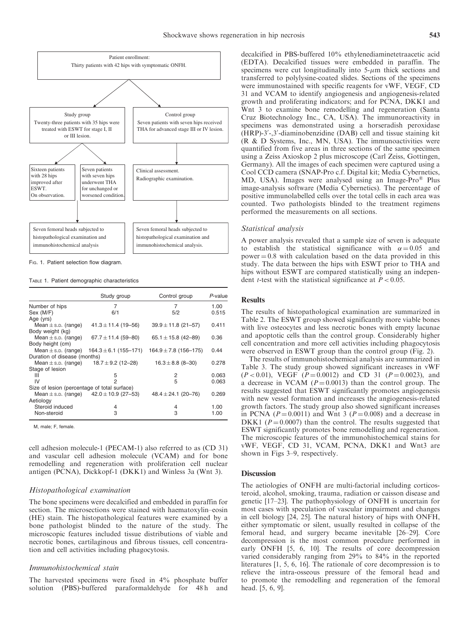

Fig. 1. Patient selection flow diagram.

TABLE 1. Patient demographic characteristics

|                                              | Study group                                     | Control group             | P-value |
|----------------------------------------------|-------------------------------------------------|---------------------------|---------|
| Number of hips                               | 7                                               | 7                         | 1.00    |
| Sex (M/F)                                    | 6/1                                             | 5/2                       | 0.515   |
| Age (yrs)                                    |                                                 |                           |         |
| Mean $\pm$ s.p. (range)                      | $41.3 \pm 11.4$ (19-56)                         | $39.9 \pm 11.8$ (21-57)   | 0.411   |
| Body weight (kg)                             |                                                 |                           |         |
| Mean $\pm$ s.p. (range)                      | $67.7 \pm 11.4$ (59-80)                         | 65.1 $\pm$ 15.8 (42-89)   | 0.36    |
| Body height (cm)                             |                                                 |                           |         |
| Mean $\pm$ s.p. (range)                      | $164.3 \pm 6.1$ (155-171)                       | $164.9 \pm 7.8$ (156-175) | 0.44    |
| Duration of disease (months)                 |                                                 |                           |         |
| Mean $\pm$ s.p. (range)                      | $18.7 \pm 9.2$ (12-28)                          | $16.3 \pm 8.8$ (8-30)     | 0.278   |
| Stage of lesion                              |                                                 |                           |         |
| Ш                                            | 5                                               | 2                         | 0.063   |
| IV                                           | 2                                               | 5                         | 0.063   |
| Size of lesion (percentage of total surface) |                                                 |                           |         |
|                                              | Mean $\pm$ s.p. (range) $42.0 \pm 10.9$ (27-53) | $48.4 \pm 24.1$ (20-76)   | 0.269   |
| Aetiology                                    |                                                 |                           |         |
| Steroid induced                              | 4                                               | 4                         | 1.00    |
| Non-steroid                                  | 3                                               | 3                         | 1.00    |

M, male; F, female.

cell adhesion molecule-1 (PECAM-1) also referred to as (CD 31) and vascular cell adhesion molecule (VCAM) and for bone remodelling and regeneration with proliferation cell nuclear antigen (PCNA), Dickkopf-1 (DKK1) and Winless 3a (Wnt 3).

## Histopathological examination

The bone specimens were decalcified and embedded in paraffin for section. The microsections were stained with haematoxylin–eosin (HE) stain. The histopathological features were examined by a bone pathologist blinded to the nature of the study. The microscopic features included tissue distributions of viable and necrotic bones, cartilaginous and fibrous tissues, cell concentration and cell activities including phagocytosis.

## Immunohistochemical stain

The harvested specimens were fixed in 4% phosphate buffer solution (PBS)-buffered paraformaldehyde for 48 h and decalcified in PBS-buffered 10% ethylenediaminetetraacetic acid (EDTA). Decalcified tissues were embedded in paraffin. The specimens were cut longitudinally into  $5-\mu m$  thick sections and transferred to polylysine-coated slides. Sections of the specimens were immunostained with specific reagents for vWF, VEGF, CD 31 and VCAM to identify angiogenesis and angiogenesis-related growth and proliferating indicators; and for PCNA, DKK1 and Wnt 3 to examine bone remodelling and regeneration (Santa Cruz Biotechnology Inc., CA, USA). The immunoreactivity in specimens was demonstrated using a horseradish peroxidase (HRP)-3'-,3'-diaminobenzidine (DAB) cell and tissue staining kit (R & D Systems, Inc., MN, USA). The immunoactivities were quantified from five areas in three sections of the same specimen using a Zeiss Axioskop 2 plus microscope (Carl Zeiss, Gottingen, Germany). All the images of each specimen were captured using a Cool CCD camera (SNAP-Pro c.f. Digital kit; Media Cybernetics, MD, USA). Images were analysed using an Image-Pro® Plus image-analysis software (Media Cybernetics). The percentage of positive immunolabelled cells over the total cells in each area was counted. Two pathologists blinded to the treatment regimens performed the measurements on all sections.

## Statistical analysis

A power analysis revealed that a sample size of seven is adequate to establish the statistical significance with  $\alpha = 0.05$  and  $power = 0.8$  with calculation based on the data provided in this study. The data between the hips with ESWT prior to THA and hips without ESWT are compared statistically using an independent *t*-test with the statistical significance at  $P < 0.05$ .

## Results

The results of histopathological examination are summarized in Table 2. The ESWT group showed significantly more viable bones with live osteocytes and less necrotic bones with empty lacunae and apoptotic cells than the control group. Considerably higher cell concentration and more cell activities including phagocytosis were observed in ESWT group than the control group (Fig. 2).

The results of immunohistochemical analysis are summarized in Table 3. The study group showed significant increases in vWF  $(P<0.01)$ , VEGF  $(P=0.0012)$  and CD 31  $(P=0.0023)$ , and a decrease in VCAM ( $P = 0.0013$ ) than the control group. The results suggested that ESWT significantly promotes angiogenesis with new vessel formation and increases the angiogenesis-related growth factors. The study group also showed significant increases in PCNA ( $P = 0.0011$ ) and Wnt 3 ( $P = 0.008$ ) and a decrease in DKK1 ( $P = 0.0007$ ) than the control. The results suggested that ESWT significantly promotes bone remodelling and regeneration. The microscopic features of the immunohistochemical stains for vWF, VEGF, CD 31, VCAM, PCNA, DKK1 and Wnt3 are shown in Figs 3–9, respectively.

## **Discussion**

The aetiologies of ONFH are multi-factorial including corticosteroid, alcohol, smoking, trauma, radiation or caisson disease and genetic [17–23]. The pathophysiology of ONFH is uncertain for most cases with speculation of vascular impairment and changes in cell biology [24, 25]. The natural history of hips with ONFH, either symptomatic or silent, usually resulted in collapse of the femoral head, and surgery became inevitable [26–29]. Core decompression is the most common procedure performed in early ONFH [5, 6, 10]. The results of core decompression varied considerably ranging from 29% to 84% in the reported literatures [1, 5, 6, 16]. The rationale of core decompression is to relieve the intra-osseous pressure of the femoral head and to promote the remodelling and regeneration of the femoral head. [5, 6, 9].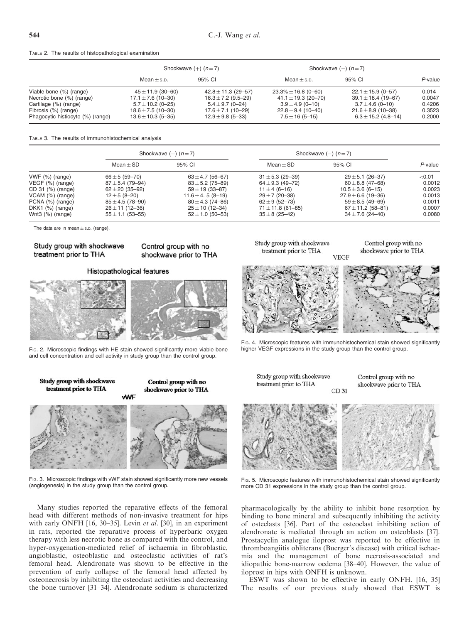### TABLE 2. The results of histopathological examination

|                                   | Shockwave $(+)$ $(n=7)$ |                         | Shockwave $(-)$ $(n=7)$  |                         |         |
|-----------------------------------|-------------------------|-------------------------|--------------------------|-------------------------|---------|
|                                   | $Mean + s.p.$           | 95% CI                  | $Mean + s.p.$            | 95% CI                  | P-value |
| Viable bone (%) (range)           | $45 \pm 11.9$ (30-60)   | $42.8 \pm 11.3$ (29-57) | $23.3\% \pm 16.8$ (0-60) | $22.1 \pm 15.9$ (0-57)  | 0.014   |
| Necrotic bone (%) (range)         | $17.1 \pm 7.6$ (10-30)  | $16.3 \pm 7.2$ (9.5–29) | 41.1 $\pm$ 19.3 (20–70)  | $39.1 \pm 18.4$ (19-67) | 0.0047  |
| Cartilage (%) (range)             | $5.7 \pm 10.2$ (0-25)   | $5.4 \pm 9.7$ (0-24)    | $3.9 \pm 4.9$ (0-10)     | $3.7 \pm 4.6$ (0-10)    | 0.4206  |
| Fibrosis (%) (range)              | $18.6 \pm 7.5$ (10-30)  | $17.6 \pm 7.1(10 - 29)$ | $22.8 \pm 9.4$ (10-40)   | $21.6 \pm 8.9$ (10-38)  | 0.3523  |
| Phagocytic histiocyte (%) (range) | $13.6 \pm 10.3$ (5-35)  | $12.9 \pm 9.8$ (5-33)   | $7.5 \pm 16$ (5-15)      | $6.3 \pm 15.2$ (4.8-14) | 0.2000  |

#### TABLE 3. The results of immunohistochemical analysis

|                       | Shockwave $(+)$ $(n=7)$ |                      | Shockwave $(-)$ $(n=7)$ |                        |         |
|-----------------------|-------------------------|----------------------|-------------------------|------------------------|---------|
|                       | $Mean + SD$             | 95% CI               | $Mean + SD$             | 95% CI                 | P-value |
| $VWF$ $%$ (range)     | $66 \pm 5 (59 - 70)$    | $63 \pm 4.7$ (56–67) | $31 \pm 5.3$ (29-39)    | $29 \pm 5.1$ (26-37)   | < 0.01  |
| $VEGF$ $(\%)$ (range) | $87 \pm 5.4$ (79-94)    | $83 \pm 5.2$ (75–89) | $64 \pm 9.3$ (49-72)    | $60 \pm 8.8$ (47–68)   | 0.0012  |
| CD 31 (%) (range)     | $62 \pm 20$ (35-92)     | $59 \pm 19$ (33-87)  | $11 \pm 4$ (6-16)       | $10.5 \pm 3.6$ (6-15)  | 0.0023  |
| $VCAM$ $(\%)$ (range) | $12 \pm 5 (8 - 20)$     | $11.6 \pm 4.5(8-19)$ | $29 \pm 7$ (20-38)      | $27.9 \pm 6.6$ (19-36) | 0.0013  |
| PCNA (%) (range)      | $85 \pm 4.5$ (78-90)    | $80 \pm 4.3$ (74–86) | $62 \pm 9$ (52-73)      | $59 \pm 8.5$ (49-69)   | 0.0011  |
| DKK1 $(%)$ (range)    | $26 \pm 11$ (12-36)     | $25 \pm 10$ (12-34)  | $71 \pm 11.8$ (61–85)   | $67 \pm 11.2$ (58–81)  | 0.0007  |
| Wnt3 $(%)$ (range)    | $55 \pm 1.1$ (53-55)    | $52 \pm 1.0$ (50-53) | $35 \pm 8$ (25–42)      | $34 \pm 7.6$ (24-40)   | 0.0080  |

The data are in mean  $\pm$  s.p. (range).

# Study group with shockwave treatment prior to THA

# shockwave prior to THA

Control group with no

# **Histopathological features**



Fig. 2. Microscopic findings with HE stain showed significantly more viable bone and cell concentration and cell activity in study group than the control group.

Study group with shockwave treatment prior to THA





FIG. 3. Microscopic findings with vWF stain showed significantly more new vessels (angiogenesis) in the study group than the control group.

Many studies reported the reparative effects of the femoral head with different methods of non-invasive treatment for hips with early ONFH [16, 30-35]. Levin et al. [30], in an experiment in rats, reported the reparative process of hyperbaric oxygen therapy with less necrotic bone as compared with the control, and hyper-oxygenation-mediated relief of ischaemia in fibroblastic, angioblastic, osteoblastic and osteoclastic activities of rat's femoral head. Alendronate was shown to be effective in the prevention of early collapse of the femoral head affected by osteonecrosis by inhibiting the osteoclast activities and decreasing the bone turnover [31–34]. Alendronate sodium is characterized Study group with shockwave treatment prior to THA

Control group with no shockwave prior to THA



FIG. 4. Microscopic features with immunohistochemical stain showed significantly higher VEGF expressions in the study group than the control group.

Study group with shockwave treatment prior to THA CD 31 Control group with no shockwave prior to THA



Fig. 5. Microscopic features with immunohistochemical stain showed significantly more CD 31 expressions in the study group than the control group.

pharmacologically by the ability to inhibit bone resorption by binding to bone mineral and subsequently inhibiting the activity of osteclasts [36]. Part of the osteoclast inhibiting action of alendronate is mediated through an action on osteoblasts [37]. Prostacyclin analogue iloprost was reported to be effective in thromboangiitis obliterans (Buerger's disease) with critical ischaemia and the management of bone necrosis-associated and idiopathic bone-marrow oedema [38–40]. However, the value of iloprost in hips with ONFH is unknown.

ESWT was shown to be effective in early ONFH. [16, 35] The results of our previous study showed that ESWT is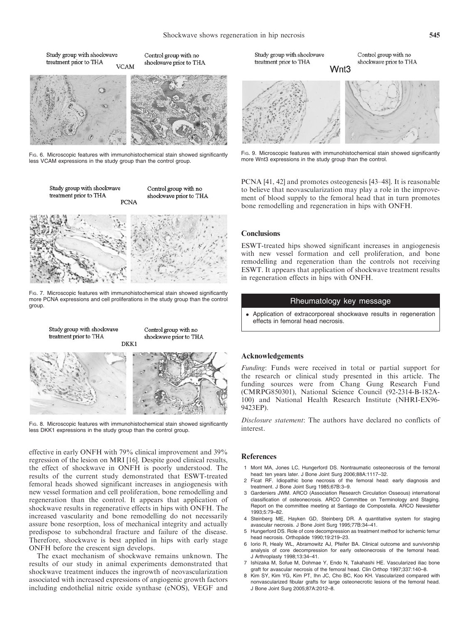Study group with shockwaye treatment prior to THA **VCAM** 





Control group with no

shockwave prior to THA

FIG. 6. Microscopic features with immunohistochemical stain showed significantly less VCAM expressions in the study group than the control group.

Study group with shockwave treatment prior to THA **PCNA** 

Control group with no shockwave prior to THA



FIG. 7. Microscopic features with immunohistochemical stain showed significantly more PCNA expressions and cell proliferations in the study group than the control group.



FIG. 8. Microscopic features with immunohistochemical stain showed significantly less DKK1 expressions in the study group than the control group.

effective in early ONFH with 79% clinical improvement and 39% regression of the lesion on MRI [16]. Despite good clinical results, the effect of shockwave in ONFH is poorly understood. The results of the current study demonstrated that ESWT-treated femoral heads showed significant increases in angiogenesis with new vessel formation and cell proliferation, bone remodelling and regeneration than the control. It appears that application of shockwave results in regenerative effects in hips with ONFH. The increased vascularity and bone remodelling do not necessarily assure bone resorption, loss of mechanical integrity and actually predispose to subchondral fracture and failure of the disease. Therefore, shockwave is best applied in hips with early stage ONFH before the crescent sign develops.

The exact mechanism of shockwave remains unknown. The results of our study in animal experiments demonstrated that shockwave treatment induces the ingrowth of neovascularization associated with increased expressions of angiogenic growth factors including endothelial nitric oxide synthase (eNOS), VEGF and

Study group with shockwaye treatment prior to THA

Control group with no shockwave prior to THA



Wnt3

FIG. 9. Microscopic features with immunohistochemical stain showed significantly more Wnt3 expressions in the study group than the control.

PCNA [41, 42] and promotes osteogenesis [43–48]. It is reasonable to believe that neovascularization may play a role in the improvement of blood supply to the femoral head that in turn promotes bone remodelling and regeneration in hips with ONFH.

## **Conclusions**

ESWT-treated hips showed significant increases in angiogenesis with new vessel formation and cell proliferation, and bone remodelling and regeneration than the controls not receiving ESWT. It appears that application of shockwave treatment results in regeneration effects in hips with ONFH.

## Rheumatology key message

 Application of extracorporeal shockwave results in regeneration effects in femoral head necrosis.

## Acknowledgements

Funding: Funds were received in total or partial support for the research or clinical study presented in this article. The funding sources were from Chang Gung Research Fund (CMRPG850301), National Science Council (92-2314-B-182A-100) and National Health Research Institute (NHRI-EX96- 9423EP).

Disclosure statement: The authors have declared no conflicts of interest.

### References

- 1 Mont MA, Jones LC, Hungerford DS. Nontraumatic osteonecrosis of the femoral head: ten years later. J Bone Joint Surg 2006;88A:1117–32.
- 2 Ficat RF. Idiopathic bone necrosis of the femoral head: early diagnosis and treatment. J Bone Joint Surg 1985;67B:3–9.
- 3 Gardeniers JWM. ARCO (Association Research Circulation Osseous) international classification of osteonecrosis. ARCO Committee on Terminology and Staging. Report on the committee meeting at Santiago de Compostella. ARCO Newsletter 1993;5:79–82.
- 4 Steinberg ME, Hayken GD, Steinberg DR. A quantitative system for staging avascular necrosis. J Bone Joint Surg 1995;77B:34–41.
- 5 Hungerford DS. Role of core decompression as treatment method for ischemic femur head necrosis. Orthopäde 1990;19:219-23.
- 6 Iorio R, Healy WL, Abramowitz AJ, Pfeifer BA. Clinical outcome and survivorship analysis of core decompression for early osteonecrosis of the femoral head. J Arthroplasty 1998;13:34–41.
- 7 Ishizaka M, Sofue M, Dohmae Y, Endo N, Takahashi HE. Vascularized iliac bone graft for avascular necrosis of the femoral head. Clin Orthop 1997;337:140–8.
- 8 Kim SY, Kim YG, Kim PT, Ihn JC, Cho BC, Koo KH. Vascularized compared with nonvascularized fibular grafts for large osteonecrotic lesions of the femoral head. J Bone Joint Surg 2005;87A:2012–8.